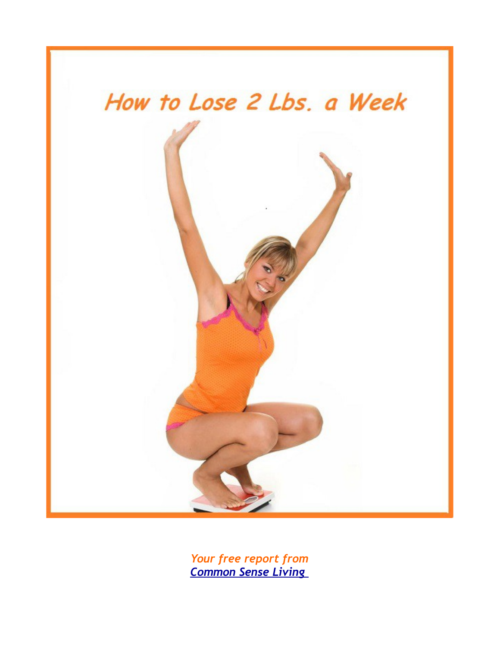

*Your free report from [Common Sense Living](http://commonsenseliving.com/)*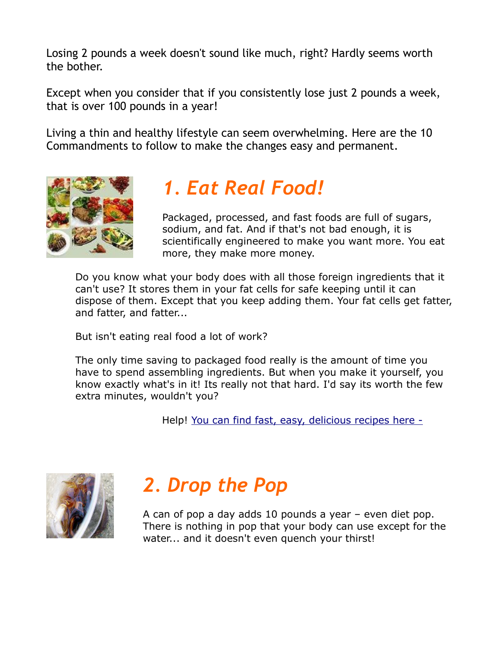Losing 2 pounds a week doesn't sound like much, right? Hardly seems worth the bother.

Except when you consider that if you consistently lose just 2 pounds a week, that is over 100 pounds in a year!

Living a thin and healthy lifestyle can seem overwhelming. Here are the 10 Commandments to follow to make the changes easy and permanent.



#### *1. Eat Real Food!*

Packaged, processed, and fast foods are full of sugars, sodium, and fat. And if that's not bad enough, it is scientifically engineered to make you want more. You eat more, they make more money.

Do you know what your body does with all those foreign ingredients that it can't use? It stores them in your fat cells for safe keeping until it can dispose of them. Except that you keep adding them. Your fat cells get fatter, and fatter, and fatter...

But isn't eating real food a lot of work?

The only time saving to packaged food really is the amount of time you have to spend assembling ingredients. But when you make it yourself, you know exactly what's in it! Its really not that hard. I'd say its worth the few extra minutes, wouldn't you?

Help! [You can find fast, easy, delicious recipes here -](http://commonsenseliving.com/members/index.php/recipes)



## *2. Drop the Pop*

A can of pop a day adds 10 pounds a year – even diet pop. There is nothing in pop that your body can use except for the water... and it doesn't even quench your thirst!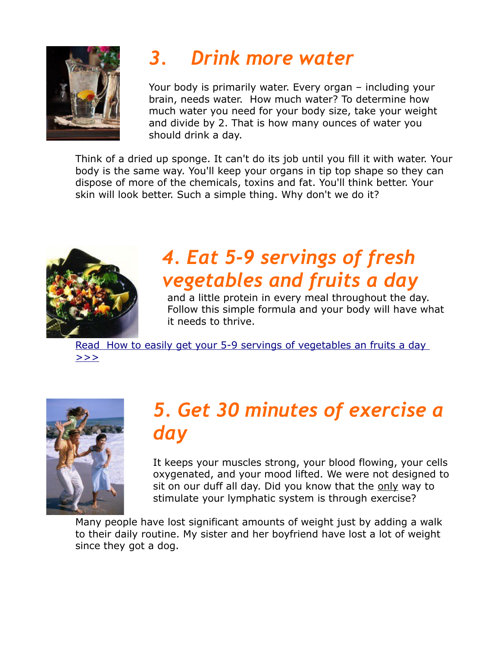

# *3. Drink more water*

Your body is primarily water. Every organ – including your brain, needs water. How much water? To determine how much water you need for your body size, take your weight and divide by 2. That is how many ounces of water you should drink a day.

Think of a dried up sponge. It can't do its job until you fill it with water. Your body is the same way. You'll keep your organs in tip top shape so they can dispose of more of the chemicals, toxins and fat. You'll think better. Your skin will look better. Such a simple thing. Why don't we do it?



## *4. Eat 5-9 servings of fresh vegetables and fruits a day*

and a little protein in every meal throughout the day. Follow this simple formula and your body will have what it needs to thrive.

[Read How to easily get your 5-9 servings of vegetables an fruits a day](http://commonsenseliving.com/getting-your-5-9-a-day-is-easier-than-you-think/)   $>>$ 



## *5. Get 30 minutes of exercise a day*

It keeps your muscles strong, your blood flowing, your cells oxygenated, and your mood lifted. We were not designed to sit on our duff all day. Did you know that the only way to stimulate your lymphatic system is through exercise?

Many people have lost significant amounts of weight just by adding a walk to their daily routine. My sister and her boyfriend have lost a lot of weight since they got a dog.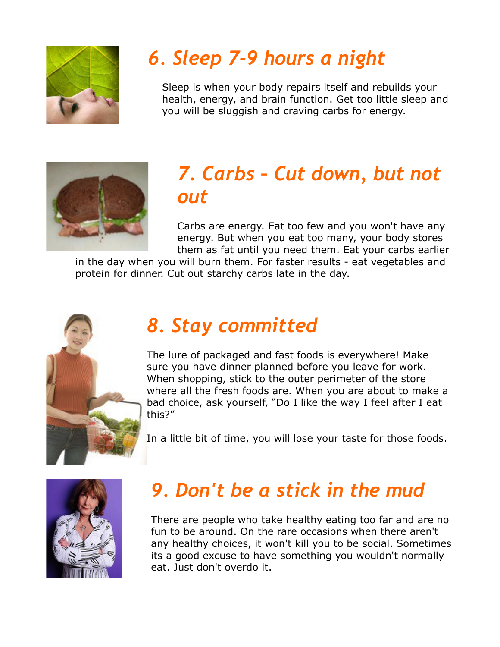

# *6. Sleep 7-9 hours a night*

Sleep is when your body repairs itself and rebuilds your health, energy, and brain function. Get too little sleep and you will be sluggish and craving carbs for energy.



### *7. Carbs – Cut down, but not out*

Carbs are energy. Eat too few and you won't have any energy. But when you eat too many, your body stores them as fat until you need them. Eat your carbs earlier

in the day when you will burn them. For faster results - eat vegetables and protein for dinner. Cut out starchy carbs late in the day.



### *8. Stay committed*

The lure of packaged and fast foods is everywhere! Make sure you have dinner planned before you leave for work. When shopping, stick to the outer perimeter of the store where all the fresh foods are. When you are about to make a bad choice, ask yourself, "Do I like the way I feel after I eat this?"

In a little bit of time, you will lose your taste for those foods.



## *9. Don't be a stick in the mud*

There are people who take healthy eating too far and are no fun to be around. On the rare occasions when there aren't any healthy choices, it won't kill you to be social. Sometimes its a good excuse to have something you wouldn't normally eat. Just don't overdo it.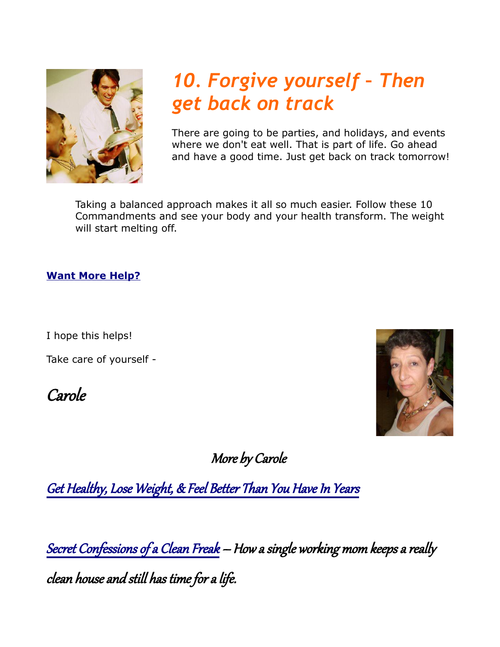

## *10. Forgive yourself – Then get back on track*

There are going to be parties, and holidays, and events where we don't eat well. That is part of life. Go ahead and have a good time. Just get back on track tomorrow!

Taking a balanced approach makes it all so much easier. Follow these 10 Commandments and see your body and your health transform. The weight will start melting off.

#### **[Want More Help?](http://commonsenseliving.com/get-healthy/)**

I hope this helps!

Take care of yourself -

Carole



More by Carole

[Get Healthy, Lose Weight, & Feel Better Than You Have In Years](http://commonsenseliving.com/get-healthy/)

[Secret Confessions of a Clean Freak](http://howtocleanhousefast.com/) – How a single working mom keeps a really clean house and still has time for a life.